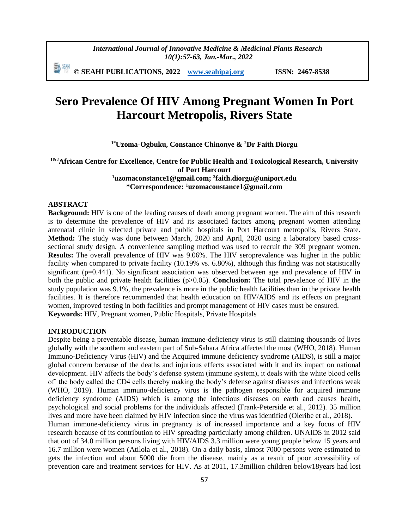*International Journal of Innovative Medicine & Medicinal Plants Research 10(1):57-63, Jan.-Mar., 2022*

勤姻 **© SEAHI PUBLICATIONS, 2022 [www.seahipaj.org](http://www.seahipaj.org/) ISSN: 2467-8538**

# **Sero Prevalence Of HIV Among Pregnant Women In Port Harcourt Metropolis, Rivers State**

**1\*Uzoma-Ogbuku, Constance Chinonye & <sup>2</sup>Dr Faith Diorgu**

**1&2African Centre for Excellence, Centre for Public Health and Toxicological Research, University of Port Harcourt <sup>1</sup>[uzomaconstance1@gmail.com;](mailto:1uzomaconstance1@gmail.com) <sup>2</sup> [faith.diorgu@uniport.edu](mailto:Faith.diorgu@uniport.edu) \*Correspondence: <sup>1</sup>[uzomaconstance1@gmail.com](mailto:1uzomaconstance1@gmail.com)**

## **ABSTRACT**

**Background:** HIV is one of the leading causes of death among pregnant women. The aim of this research is to determine the prevalence of HIV and its associated factors among pregnant women attending antenatal clinic in selected private and public hospitals in Port Harcourt metropolis, Rivers State. **Method:** The study was done between March, 2020 and April, 2020 using a laboratory based crosssectional study design. A convenience sampling method was used to recruit the 309 pregnant women. **Results:** The overall prevalence of HIV was 9.06%. The HIV seroprevalence was higher in the public facility when compared to private facility (10.19% vs. 6.80%), although this finding was not statistically significant ( $p=0.441$ ). No significant association was observed between age and prevalence of HIV in both the public and private health facilities (p>0.05). **Conclusion:** The total prevalence of HIV in the study population was 9.1%, the prevalence is more in the public health facilities than in the private health facilities. It is therefore recommended that health education on HIV/AIDS and its effects on pregnant women, improved testing in both facilities and prompt management of HIV cases must be ensured. **Keywords:** HIV, Pregnant women, Public Hospitals, Private Hospitals

### **INTRODUCTION**

Despite being a preventable disease, human immune-deficiency virus is still claiming thousands of lives globally with the southern and eastern part of Sub-Sahara Africa affected the most (WHO, 2018). Human Immuno-Deficiency Virus (HIV) and the Acquired immune deficiency syndrome (AIDS), is still a major global concern because of the deaths and injurious effects associated with it and its impact on national development. HIV affects the body's defense system (immune system), it deals with the white blood cells of` the body called the CD4 cells thereby making the body's defense against diseases and infections weak (WHO, 2019). Human immuno-deficiency virus is the pathogen responsible for acquired immune deficiency syndrome (AIDS) which is among the infectious diseases on earth and causes health, psychological and social problems for the individuals affected (Frank-Peterside et al., 2012). 35 million lives and more have been claimed by HIV infection since the virus was identified (Oleribe et al., 2018). Human immune-deficiency virus in pregnancy is of increased importance and a key focus of HIV research because of its contribution to HIV spreading particularly among children. UNAIDS in 2012 said that out of 34.0 million persons living with HIV/AIDS 3.3 million were young people below 15 years and 16.7 million were women (Atilola et al., 2018). On a daily basis, almost 7000 persons were estimated to gets the infection and about 5000 die from the disease, mainly as a result of poor accessibility of prevention care and treatment services for HIV. As at 2011, 17.3million children below18years had lost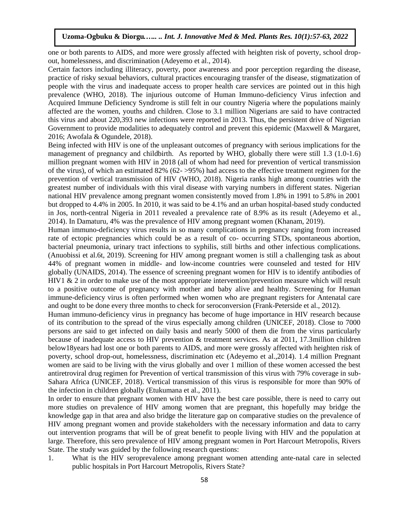one or both parents to AIDS, and more were grossly affected with heighten risk of poverty, school dropout, homelessness, and discrimination (Adeyemo et al., 2014).

Certain factors including illiteracy, poverty, poor awareness and poor perception regarding the disease, practice of risky sexual behaviors, cultural practices encouraging transfer of the disease, stigmatization of people with the virus and inadequate access to proper health care services are pointed out in this high prevalence (WHO, 2018). The injurious outcome of Human Immuno-deficiency Virus infection and Acquired Immune Deficiency Syndrome is still felt in our country Nigeria where the populations mainly affected are the women, youths and children. Close to 3.1 million Nigerians are said to have contracted this virus and about 220,393 new infections were reported in 2013. Thus, the persistent drive of Nigerian Government to provide modalities to adequately control and prevent this epidemic (Maxwell & Margaret, 2016; Awofala & Ogundele, 2018).

Being infected with HIV is one of the unpleasant outcomes of pregnancy with serious implications for the management of pregnancy and childbirth. As reported by WHO, globally there were still 1.3 (1.0-1.6) million pregnant women with HIV in 2018 (all of whom had need for prevention of vertical transmission of the virus), of which an estimated 82% (62- >95%) had access to the effective treatment regimen for the prevention of vertical transmission of HIV (WHO, 2018). Nigeria ranks high among countries with the greatest number of individuals with this viral disease with varying numbers in different states. Nigerian national HIV prevalence among pregnant women consistently moved from 1.8% in 1991 to 5.8% in 2001 but dropped to 4.4% in 2005. In 2010, it was said to be 4.1% and an urban hospital-based study conducted in Jos, north-central Nigeria in 2011 revealed a prevalence rate of 8.9% as its result (Adeyemo et al., 2014). In Damaturu, 4% was the prevalence of HIV among pregnant women (Khanam, 2019).

Human immuno-deficiency virus results in so many complications in pregnancy ranging from increased rate of ectopic pregnancies which could be as a result of co- occurring STDs, spontaneous abortion, bacterial pneumonia, urinary tract infections to syphilis, still births and other infectious complications. (Anuobissi et al.6t, 2019). Screening for HIV among pregnant women is still a challenging task as about 44% of pregnant women in middle- and low-income countries were counseled and tested for HIV globally (UNAIDS, 2014). The essence of screening pregnant women for HIV is to identify antibodies of HIV1 & 2 in order to make use of the most appropriate intervention/prevention measure which will result to a positive outcome of pregnancy with mother and baby alive and healthy. Screening for Human immune-deficiency virus is often performed when women who are pregnant registers for Antenatal care and ought to be done every three months to check for seroconversion (Frank-Peterside et al., 2012).

Human immuno-deficiency virus in pregnancy has become of huge importance in HIV research because of its contribution to the spread of the virus especially among children (UNICEF, 2018). Close to 7000 persons are said to get infected on daily basis and nearly 5000 of them die from the virus particularly because of inadequate access to HIV prevention & treatment services. As at 2011, 17.3million children below18years had lost one or both parents to AIDS, and more were grossly affected with heighten risk of poverty, school drop-out, homelessness, discrimination etc (Adeyemo et al.,2014). 1.4 million Pregnant women are said to be living with the virus globally and over 1 million of these women accessed the best antiretroviral drug regimen for Prevention of vertical transmission of this virus with 79% coverage in sub-Sahara Africa (UNICEF, 2018). Vertical transmission of this virus is responsible for more than 90% of the infection in children globally (Etukumana et al., 2011).

In order to ensure that pregnant women with HIV have the best care possible, there is need to carry out more studies on prevalence of HIV among women that are pregnant, this hopefully may bridge the knowledge gap in that area and also bridge the literature gap on comparative studies on the prevalence of HIV among pregnant women and provide stakeholders with the necessary information and data to carry out intervention programs that will be of great benefit to people living with HIV and the population at large. Therefore, this sero prevalence of HIV among pregnant women in Port Harcourt Metropolis, Rivers State. The study was guided by the following research questions:

1. What is the HIV seroprevalence among pregnant women attending ante-natal care in selected public hospitals in Port Harcourt Metropolis, Rivers State?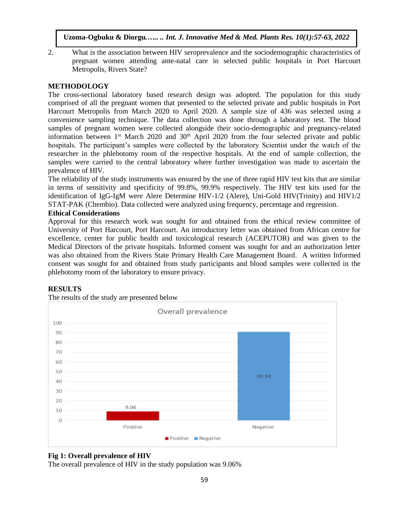2. What is the association between HIV seroprevalence and the sociodemographic characteristics of pregnant women attending ante-natal care in selected public hospitals in Port Harcourt Metropolis, Rivers State?

# **METHODOLOGY**

The cross-sectional laboratory based research design was adopted. The population for this study comprised of all the pregnant women that presented to the selected private and public hospitals in Port Harcourt Metropolis from March 2020 to April 2020. A sample size of 436 was selected using a convenience sampling technique. The data collection was done through a laboratory test. The blood samples of pregnant women were collected alongside their socio-demographic and pregnancy-related information between  $1<sup>st</sup>$  March 2020 and 30<sup>th</sup> April 2020 from the four selected private and public hospitals. The participant's samples were collected by the laboratory Scientist under the watch of the researcher in the phlebotomy room of the respective hospitals. At the end of sample collection, the samples were carried to the central laboratory where further investigation was made to ascertain the prevalence of HIV.

The reliability of the study instruments was ensured by the use of three rapid HIV test kits that are similar in terms of sensitivity and specificity of 99.8%, 99.9% respectively. The HIV test kits used for the identification of IgG-IgM were Alere Determine HIV-1/2 (Alere), Uni-Gold HIV(Trinity) and HIV1/2 STAT-PAK (Chembio). Data collected were analyzed using frequency, percentage and regression.

# **Ethical Considerations**

Approval for this research work was sought for and obtained from the ethical review committee of University of Port Harcourt, Port Harcourt. An introductory letter was obtained from African centre for excellence, center for public health and toxicological research (ACEPUTOR) and was given to the Medical Directors of the private hospitals. Informed consent was sought for and an authorization letter was also obtained from the Rivers State Primary Health Care Management Board. A written Informed consent was sought for and obtained from study participants and blood samples were collected in the phlebotomy room of the laboratory to ensure privacy.

## **RESULTS**

The results of the study are presented below



## **Fig 1: Overall prevalence of HIV**

The overall prevalence of HIV in the study population was 9.06%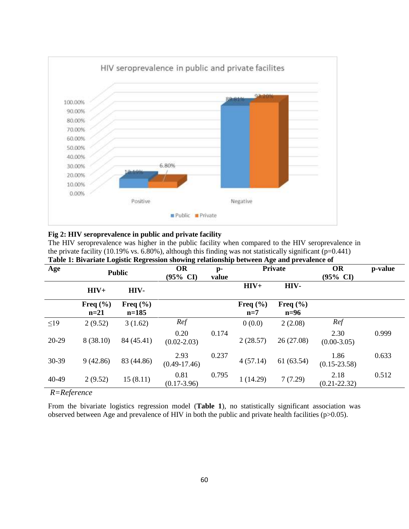

#### **Fig 2: HIV seroprevalence in public and private facility**

The HIV seroprevalence was higher in the public facility when compared to the HIV seroprevalence in the private facility (10.19% vs.  $6.80\%$ ), although this finding was not statistically significant (p=0.441) **Table 1: Bivariate Logistic Regression showing relationship between Age and prevalence of** 

| Age       | Table 1. Drvariate Logistic Kegi ession showing relationship between Age and prevalence of<br><b>Public</b> |                         | <b>OR</b><br>$\mathbf{p}$ -<br>$(95\% \text{ CI})$<br>value |       | <b>Private</b>        |                        | <b>OR</b><br>$(95\% \text{ CI})$ | p-value |
|-----------|-------------------------------------------------------------------------------------------------------------|-------------------------|-------------------------------------------------------------|-------|-----------------------|------------------------|----------------------------------|---------|
|           | $HIV+$                                                                                                      | HIV-                    |                                                             |       | $HIV+$                | HIV-                   |                                  |         |
|           | Freq $(\% )$<br>$n=21$                                                                                      | Freq $(\% )$<br>$n=185$ |                                                             |       | Freq $(\% )$<br>$n=7$ | Freq $(\% )$<br>$n=96$ |                                  |         |
| $\leq$ 19 | 2(9.52)                                                                                                     | 3(1.62)                 | Ref                                                         |       | 0(0.0)                | 2(2.08)                | Ref                              |         |
| $20-29$   | 8(38.10)                                                                                                    | 84 (45.41)              | 0.20<br>$(0.02 - 2.03)$                                     | 0.174 | 2(28.57)              | 26(27.08)              | 2.30<br>$(0.00-3.05)$            | 0.999   |
| $30 - 39$ | 9(42.86)                                                                                                    | 83 (44.86)              | 2.93<br>$(0.49-17.46)$                                      | 0.237 | 4(57.14)              | 61 (63.54)             | 1.86<br>$(0.15 - 23.58)$         | 0.633   |
| 40-49     | 2(9.52)                                                                                                     | 15(8.11)                | 0.81<br>$(0.17 - 3.96)$                                     | 0.795 | 1(14.29)              | 7(7.29)                | 2.18<br>$(0.21 - 22.32)$         | 0.512   |

*R=Reference*

From the bivariate logistics regression model (**Table 1**), no statistically significant association was observed between Age and prevalence of HIV in both the public and private health facilities (p>0.05).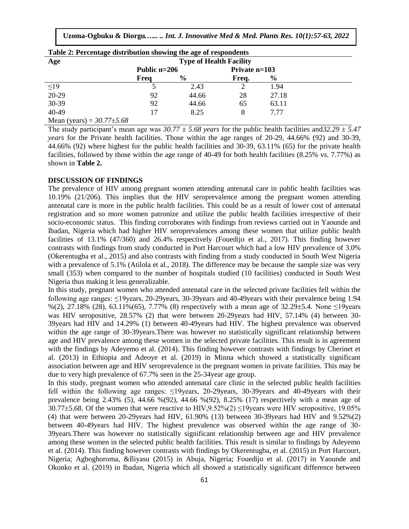| Table 2: Percentage distribution showing the age of respondents |                                |                |                 |               |  |  |  |  |  |  |
|-----------------------------------------------------------------|--------------------------------|----------------|-----------------|---------------|--|--|--|--|--|--|
| Age                                                             | <b>Type of Health Facility</b> |                |                 |               |  |  |  |  |  |  |
|                                                                 | Public $n=206$                 |                | Private $n=103$ |               |  |  |  |  |  |  |
|                                                                 | Frea                           | $\frac{6}{10}$ | Freq.           | $\frac{6}{9}$ |  |  |  |  |  |  |
| $\leq$ 19                                                       |                                | 2.43           |                 | 1.94          |  |  |  |  |  |  |
| 20-29                                                           | 92                             | 44.66          | 28              | 27.18         |  |  |  |  |  |  |
| 30-39                                                           | 92                             | 44.66          | 65              | 63.11         |  |  |  |  |  |  |
| 40-49                                                           | 17                             | 8.25           | 8               | 7.77          |  |  |  |  |  |  |
| Mean (years) = $30.77 \pm 5.68$                                 |                                |                |                 |               |  |  |  |  |  |  |

The study participant's mean age was *30.77 ± 5.68 years* for the public health facilities and*32.29 ± 5.47 years* for the Private health facilities. Those within the age ranges of 20-29, 44.66% (92) and 30-39, 44.66% (92) where highest for the public health facilities and 30-39, 63.11% (65) for the private health facilities, followed by those within the age range of 40-49 for both health facilities (8.25% vs. 7.77%) as shown in **Table 2.**

## **DISCUSSION OF FINDINGS**

The prevalence of HIV among pregnant women attending antenatal care in public health facilities was 10.19% (21/206). This implies that the HIV seroprevalence among the pregnant women attending antenatal care is more in the public health facilities. This could be as a result of lower cost of antenatal registration and so more women patronize and utilize the public health facilities irrespective of their socio-economic status. This finding corroborates with findings from reviews carried out in Yaounde and Ibadan, Nigeria which had higher HIV seroprevalences among these women that utilize public health facilities of 13.1% (47/360) and 26.4% respectively (Fouedijo et al., 2017). This finding however contrasts with findings from study conducted in Port Harcourt which had a low HIV prevalence of 3.0% (Okerentugba et al., 2015) and also contrasts with finding from a study conducted in South West Nigeria with a prevalence of 5.1% (Atilola et al., 2018). The difference may be because the sample size was very small (353) when compared to the number of hospitals studied (10 facilities) conducted in South West Nigeria thus making it less generalizable.

In this study, pregnant women who attended antenatal care in the selected private facilities fell within the following age ranges: ≤19years, 20-29years, 30-39years and 40-49years with their prevalence being 1.94 %(2), 27.18% (28), 63.11%(65), 7.77% (8) respectively with a mean age of 32.29±5.4. None ≤19years was HIV seropositive, 28.57% (2) that were between 20-29years had HIV, 57.14% (4) between 30- 39years had HIV and 14.29% (1) between 40-49years had HIV. The highest prevalence was observed within the age range of 30-39years.There was however no statistically significant relationship between age and HIV prevalence among these women in the selected private facilities. This result is in agreement with the findings by Adeyemo et al. (2014). This finding however contrasts with findings by Cherinet et al. (2013) in Ethiopia and Adeoye et al. (2019) in Minna which showed a statistically significant association between age and HIV seroprevalence in the pregnant women in private facilities. This may be due to very high prevalence of 67.7% seen in the 25-34year age group.

In this study, pregnant women who attended antenatal care clinic in the selected public health facilities fell within the following age ranges: ≤19years, 20-29years, 30-39years and 40-49years with their prevalence being  $2.43\%$  (5),  $44.66\%$  (92),  $44.66\%$  (92),  $8.25\%$  (17) respectively with a mean age of  $30.77\pm5.68$ . Of the women that were reactive to HIV,  $9.52\%$  (2)  $\leq$  19 years were HIV seropositive, 19.05% (4) that were between 20-29years had HIV, 61.90% (13) between 30-39years had HIV and 9.52%(2) between 40-49years had HIV. The highest prevalence was observed within the age range of 30- 39years.There was however no statistically significant relationship between age and HIV prevalence among these women in the selected public health facilities. This result is similar to findings by Adeyemo et al. (2014). This finding however contrasts with findings by Okerentugba, et al. (2015) in Port Harcourt, Nigeria; Agboghoroma, &Iliyasu (2015) in Abuja, Nigeria; Fouedijo et al. (2017) in Yaounde and Okonko et al. (2019) in Ibadan, Nigeria which all showed a statistically significant difference between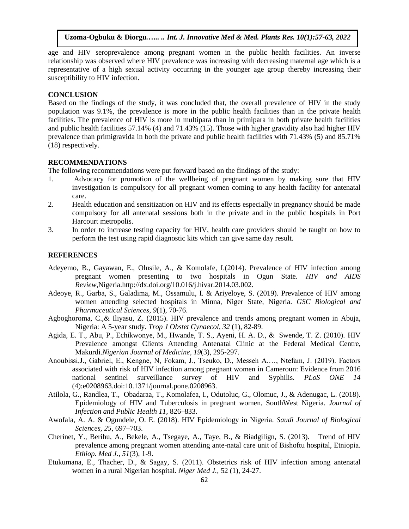age and HIV seroprevalence among pregnant women in the public health facilities. An inverse relationship was observed where HIV prevalence was increasing with decreasing maternal age which is a representative of a high sexual activity occurring in the younger age group thereby increasing their susceptibility to HIV infection.

## **CONCLUSION**

Based on the findings of the study, it was concluded that, the overall prevalence of HIV in the study population was 9.1%, the prevalence is more in the public health facilities than in the private health facilities. The prevalence of HIV is more in multipara than in primipara in both private health facilities and public health facilities 57.14% (4) and 71.43% (15). Those with higher gravidity also had higher HIV prevalence than primigravida in both the private and public health facilities with 71.43% (5) and 85.71% (18) respectively.

#### **RECOMMENDATIONS**

The following recommendations were put forward based on the findings of the study:

- 1. Advocacy for promotion of the wellbeing of pregnant women by making sure that HIV investigation is compulsory for all pregnant women coming to any health facility for antenatal care.
- 2. Health education and sensitization on HIV and its effects especially in pregnancy should be made compulsory for all antenatal sessions both in the private and in the public hospitals in Port Harcourt metropolis.
- 3. In order to increase testing capacity for HIV, health care providers should be taught on how to perform the test using rapid diagnostic kits which can give same day result.

#### **REFERENCES**

- Adeyemo, B., Gayawan, E., Olusile, A., & Komolafe, I.(2014). Prevalence of HIV infection among pregnant women presenting to two hospitals in Ogun State. *HIV and AIDS Review,*Nigeria.http://dx.doi.org/10.016/j.hivar.2014.03.002.
- Adeoye, R., Garba, S., Galadima, M., Ossamulu, I. & Ariyeloye, S. (2019). Prevalence of HIV among women attending selected hospitals in Minna, Niger State, Nigeria. *GSC Biological and Pharmaceutical Sciences, 9*(1), 70-76.
- Agboghoroma, C.,& Iliyasu, Z. (2015). HIV prevalence and trends among pregnant women in Abuja, Nigeria: A 5-year study. *Trop J Obstet Gynaecol, 32* (1), 82-89.
- Agida, E. T., Abu, P., Echikwonye, M., Hwande, T. S., Ayeni, H. A. D., & Swende, T. Z. (2010). HIV Prevalence amongst Clients Attending Antenatal Clinic at the Federal Medical Centre, Makurdi.*Nigerian Journal of Medicine, 19*(3), 295-297.
- Anoubissi,J., Gabriel, E., Kengne, N, Fokam, J., Tseuko, D., Messeh A.…, Ntefam, J. (2019). Factors associated with risk of HIV infection among pregnant women in Cameroun: Evidence from 2016 national sentinel surveillance survey of HIV and Syphilis. *PLoS ONE 14*  (4):e0208963.doi:10.1371/journal.pone.0208963.
- Atilola, G., Randlea, T., Obadaraa, T., Komolafea, I., Odutoluc, G., Olomuc, J., & Adenugac, L. (2018). Epidemiology of HIV and Tuberculosis in pregnant women, SouthWest Nigeria. *Journal of Infection and Public Health 11,* 826–833.
- Awofala, A. A. & Ogundele, O. E. (2018). HIV Epidemiology in Nigeria. *Saudi Journal of Biological Sciences, 25,* 697–703.
- Cherinet, Y., Berihu, A., Bekele, A., Tsegaye, A., Taye, B., & Biadgilign, S. (2013). Trend of HIV prevalence among pregnant women attending ante-natal care unit of Bishoftu hospital, Etniopia. *Ethiop. Med J., 51*(3), 1-9.
- Etukumana, E., Thacher, D., & Sagay, S. (2011). Obstetrics risk of HIV infection among antenatal women in a rural Nigerian hospital. *Niger Med J.,* 52 (1), 24-27.